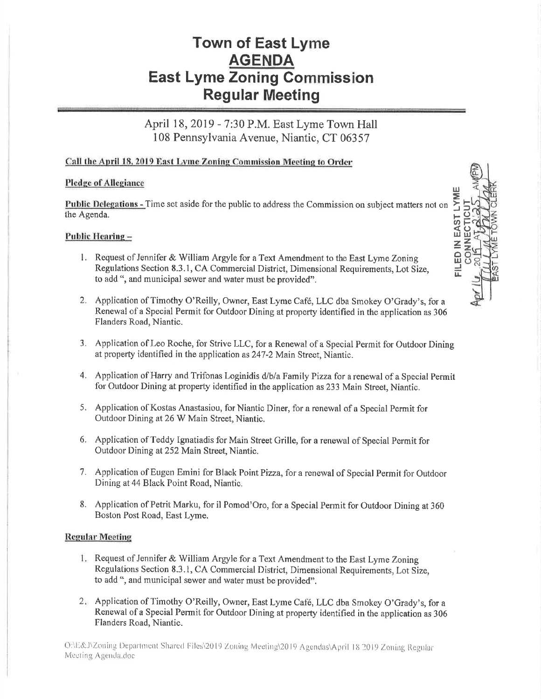# **Town of East Lyme AGENDA East Lyme Zoning Commission Regular Meeting**

April 18, 2019 - 7:30 P.M. East Lyme Town Hall 108 Pennsylvania Avenue, Niantic, CT 06357

# Call the April 18, 2019 East Lyme Zoning Commission Meeting to Order

### **Pledge of Allegiance**

FILED IN EAST LYM Public Delegations - Time set aside for the public to address the Commission on subject matters not on the Agenda.

#### Public Hearing-

- 1. Request of Jennifer & William Argyle for a Text Amendment to the East Lyme Zoning Regulations Section 8.3.1, CA Commercial District, Dimensional Requirements, Lot Size, to add ", and municipal sewer and water must be provided".
- 2. Application of Timothy O'Reilly, Owner, East Lyme Café, LLC dba Smokey O'Grady's, for a Renewal of a Special Permit for Outdoor Dining at property identified in the application as 306 Flanders Road, Niantic.
- 3. Application of Leo Roche, for Strive LLC, for a Renewal of a Special Permit for Outdoor Dining at property identified in the application as 247-2 Main Street, Niantic.
- 4. Application of Harry and Trifonas Loginidis d/b/a Family Pizza for a renewal of a Special Permit for Outdoor Dining at property identified in the application as 233 Main Street, Niantic.
- 5. Application of Kostas Anastasiou, for Niantic Diner, for a renewal of a Special Permit for Outdoor Dining at 26 W Main Street, Niantic.
- 6. Application of Teddy Ignatiadis for Main Street Grille, for a renewal of Special Permit for Outdoor Dining at 252 Main Street, Niantic.
- 7. Application of Eugen Emini for Black Point Pizza, for a renewal of Special Permit for Outdoor Dining at 44 Black Point Road, Niantic.
- 8. Application of Petrit Marku, for il Pomod'Oro, for a Special Permit for Outdoor Dining at 360 Boston Post Road, East Lyme.

#### **Regular Meeting**

- 1. Request of Jennifer & William Argyle for a Text Amendment to the East Lyme Zoning Regulations Section 8.3.1, CA Commercial District, Dimensional Requirements, Lot Size, to add ", and municipal sewer and water must be provided".
- 2. Application of Timothy O'Reilly, Owner, East Lyme Café, LLC dba Smokey O'Grady's, for a Renewal of a Special Permit for Outdoor Dining at property identified in the application as 306 Flanders Road, Niantic.

ONE&J\Zoning Department Shared Files\2019 Zoning Meeting\2019 Agendas\April 18 2019 Zoning Regular Meeting Agenda.doc